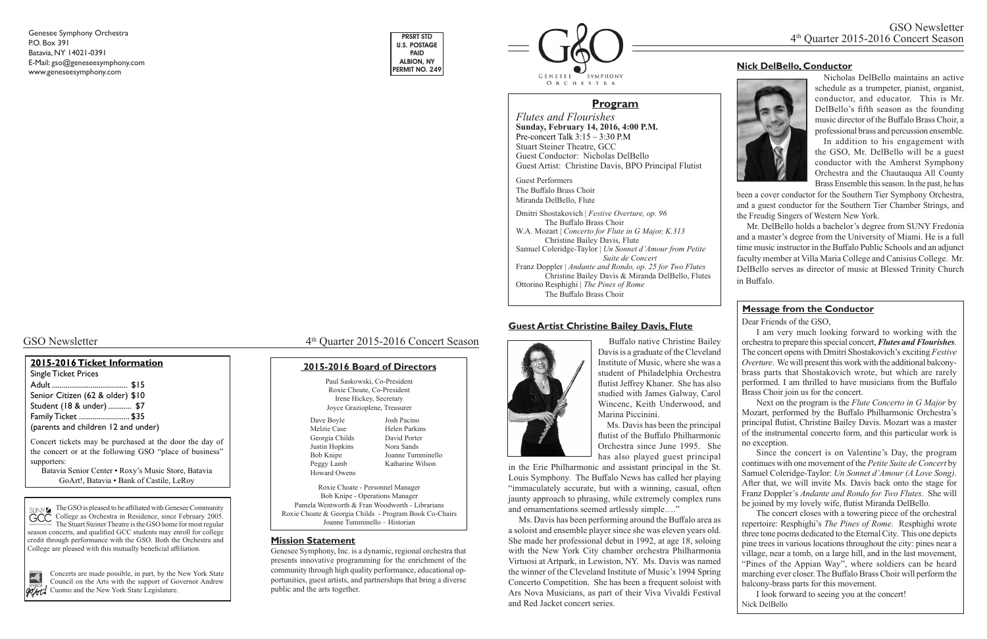# **Guest Artist Christine Bailey Davis, Flute**



 Buffalo native Christine Bailey Davis is a graduate of the Cleveland Institute of Music, where she was a student of Philadelphia Orchestra flutist Jeffrey Khaner. She has also studied with James Galway, Carol Wincenc, Keith Underwood, and Marina Piccinini.

 Ms. Davis has been the principal flutist of the Buffalo Philharmonic Orchestra since June 1995. She has also played guest principal

in the Erie Philharmonic and assistant principal in the St. Louis Symphony. The Buffalo News has called her playing "immaculately accurate, but with a winning, casual, often jaunty approach to phrasing, while extremely complex runs and ornamentations seemed artlessly simple…."

 Ms. Davis has been performing around the Buffalo area as a soloist and ensemble player since she was eleven years old. She made her professional debut in 1992, at age 18, soloing with the New York City chamber orchestra Philharmonia Virtuosi at Artpark, in Lewiston, NY. Ms. Davis was named the winner of the Cleveland Institute of Music's 1994 Spring Concerto Competition. She has been a frequent soloist with Ars Nova Musicians, as part of their Viva Vivaldi Festival and Red Jacket concert series.

The GSO is pleased to be affiliated with Genesee Community College as Orchestra in Residence, since February 2005. The Stuart Steiner Theatre is the GSO home for most regular season concerts, and qualified GCC students may enroll for college credit through performance with the GSO. Both the Orchestra and College are pleased with this mutually beneficial affiliation.



Concerts are made possible, in part, by the New York State Council on the Arts with the support of Governor Andrew **Cuomo and the New York State Legislature.** 

GSO Newsletter 4<sup>th</sup> Quarter 2015-2016 Concert Season

*Flutes and Flourishes* **Sunday, February 14, 2016, 4:00 P.M.** Pre-concert Talk 3:15 – 3:30 P.M Stuart Steiner Theatre, GCC Guest Conductor: Nicholas DelBello Guest Artist: Christine Davis, BPO Principal Flutist

Guest Performers The Buffalo Brass Choir Miranda DelBello, Flute

Dmitri Shostakovich | *Festive Overture, op. 96* The Buffalo Brass Choir W.A. Mozart | *Concerto for Flute in G Major, K.313* Christine Bailey Davis, Flute Samuel Coleridge-Taylor | *Un Sonnet d'Amour from Petite Suite de Concert* Franz Doppler | *Andante and Rondo, op. 25 for Two Flutes* Christine Bailey Davis & Miranda DelBello, Flutes Ottorino Resphighi | *The Pines of Rome* The Buffalo Brass Choir

### **2015-2016 Ticket Information**

Single Ticket Prices Adult ....................................... \$15 Senior Citizen (62 & older) \$10 Student (18 & under) ............ \$7 Family Ticket .......................... \$35 (parents and children 12 and under)

| Paul Saskowski, Co-President                           |                   |
|--------------------------------------------------------|-------------------|
| Roxie Choate, Co-President                             |                   |
| Irene Hickey, Secretary                                |                   |
| Joyce Grazioplene, Treasurer                           |                   |
| Dave Boyle                                             | Josh Pacino       |
| Melzie Case                                            | Helen Parkins     |
| Georgia Childs                                         | David Porter      |
| Justin Hopkins                                         | Nora Sands        |
| Bob Knipe                                              | Joanne Tumminello |
| Peggy Lamb                                             | Katharine Wilson  |
| Howard Owens                                           |                   |
| Roxie Choate - Personnel Manager                       |                   |
| Bob Knipe - Operations Manager                         |                   |
| Pamela Wentworth & Fran Woodworth - Librarians         |                   |
| Roxie Choate & Georgia Childs - Program Book Co-Chairs |                   |
| Joanne Tumminello – Historian                          |                   |
|                                                        |                   |

Concert tickets may be purchased at the door the day of the concert or at the following GSO "place of business" supporters:

Batavia Senior Center • Roxy's Music Store, Batavia GoArt!, Batavia • Bank of Castile, LeRoy

Genesee Symphony Orchestra P.O. Box 391 Batavia, NY 14021-0391 E-Mail: gso@geneseesymphony.com www.geneseesymphony.com

#### **Mission Statement**

Genesee Symphony, Inc. is a dynamic, regional orchestra that presents innovative programming for the enrichment of the community through high quality performance, educational opportunities, guest artists, and partnerships that bring a diverse public and the arts together.



#### **2015-2016 Board of Directors**

## **Program**

Nicholas DelBello maintains an active schedule as a trumpeter, pianist, organist, conductor, and educator. This is Mr. DelBello's fifth season as the founding music director of the Buffalo Brass Choir, a professional brass and percussion ensemble.

In addition to his engagement with the GSO, Mr. DelBello will be a guest conductor with the Amherst Symphony Orchestra and the Chautauqua All County Brass Ensemble this season. In the past, he has

been a cover conductor for the Southern Tier Symphony Orchestra, and a guest conductor for the Southern Tier Chamber Strings, and the Freudig Singers of Western New York.

 Mr. DelBello holds a bachelor's degree from SUNY Fredonia and a master's degree from the University of Miami. He is a full time music instructor in the Buffalo Public Schools and an adjunct faculty member at Villa Maria College and Canisius College. Mr. DelBello serves as director of music at Blessed Trinity Church in Buffalo.

# **Nick DelBello, Conductor**



Dear Friends of the GSO,

I am very much looking forward to working with the orchestra to prepare this special concert, *Flutes and Flourishes*. The concert opens with Dmitri Shostakovich's exciting *Festive Overture*. We will present this work with the additional balconybrass parts that Shostakovich wrote, but which are rarely performed. I am thrilled to have musicians from the Buffalo Brass Choir join us for the concert.

Next on the program is the *Flute Concerto in G Major* by Mozart, performed by the Buffalo Philharmonic Orchestra's principal flutist, Christine Bailey Davis. Mozart was a master of the instrumental concerto form, and this particular work is no exception.

Since the concert is on Valentine's Day, the program continues with one movement of the *Petite Suite de Concert* by Samuel Coleridge-Taylor: *Un Sonnet d'Amour (A Love Song)*. After that, we will invite Ms. Davis back onto the stage for Franz Doppler's *Andante and Rondo for Two Flutes*. She will be joined by my lovely wife, flutist Miranda DelBello.

The concert closes with a towering piece of the orchestral repertoire: Resphighi's *The Pines of Rome*. Resphighi wrote three tone poems dedicated to the Eternal City. This one depicts pine trees in various locations throughout the city: pines near a village, near a tomb, on a large hill, and in the last movement, "Pines of the Appian Way", where soldiers can be heard marching ever closer. The Buffalo Brass Choir will perform the balcony-brass parts for this movement.

I look forward to seeing you at the concert! Nick DelBello

#### **Message from the Conductor**